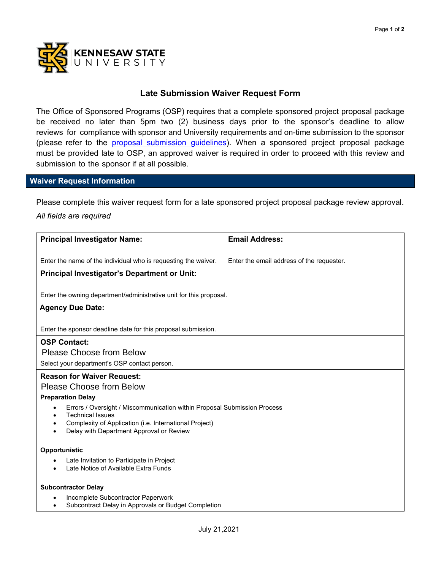

## **Late Submission Waiver Request Form**

The Office of Sponsored Programs (OSP) requires that a complete sponsored project proposal package be received no later than 5pm two (2) business days prior to the sponsor's deadline to allow reviews for compliance with sponsor and University requirements and on-time submission to the sponsor (please refer to th[e proposal submission guidelines\)](https://in.nau.edu/osp/proposal-submission-guidelines/). When a sponsored project proposal package must be provided late to OSP, an approved waiver is required in order to proceed with this review and submission to the sponsor if at all possible.

## **Waiver Request Information**

Please complete this waiver request form for a late sponsored project proposal package review approval.

## *All fields are required*

| <b>Principal Investigator Name:</b>                                                                         | <b>Email Address:</b>                     |
|-------------------------------------------------------------------------------------------------------------|-------------------------------------------|
|                                                                                                             |                                           |
| Enter the name of the individual who is requesting the waiver.                                              | Enter the email address of the requester. |
| <b>Principal Investigator's Department or Unit:</b>                                                         |                                           |
|                                                                                                             |                                           |
| Enter the owning department/administrative unit for this proposal.                                          |                                           |
| <b>Agency Due Date:</b>                                                                                     |                                           |
|                                                                                                             |                                           |
| Enter the sponsor deadline date for this proposal submission.                                               |                                           |
| <b>OSP Contact:</b>                                                                                         |                                           |
| <b>Please Choose from Below</b>                                                                             |                                           |
| Select your department's OSP contact person.                                                                |                                           |
| <b>Reason for Waiver Request:</b>                                                                           |                                           |
| <b>Please Choose from Below</b>                                                                             |                                           |
| <b>Preparation Delay</b>                                                                                    |                                           |
| Errors / Oversight / Miscommunication within Proposal Submission Process<br>$\bullet$                       |                                           |
| <b>Technical Issues</b><br>$\bullet$<br>Complexity of Application (i.e. International Project)<br>$\bullet$ |                                           |
| Delay with Department Approval or Review<br>$\bullet$                                                       |                                           |
|                                                                                                             |                                           |
| Opportunistic                                                                                               |                                           |
| Late Invitation to Participate in Project<br>٠                                                              |                                           |
| Late Notice of Available Extra Funds<br>$\bullet$                                                           |                                           |
| <b>Subcontractor Delay</b>                                                                                  |                                           |
| Incomplete Subcontractor Paperwork<br>$\bullet$                                                             |                                           |
| Subcontract Delay in Approvals or Budget Completion<br>$\bullet$                                            |                                           |